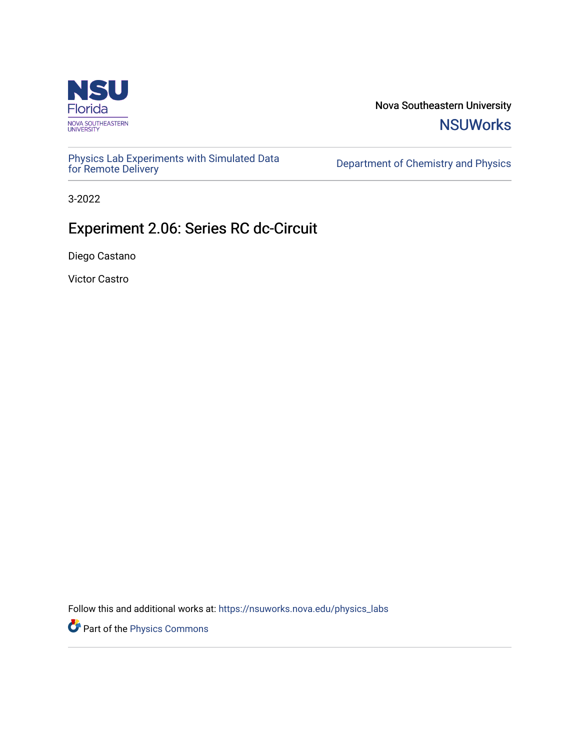

Nova Southeastern University **NSUWorks** 

[Physics Lab Experiments with Simulated Data](https://nsuworks.nova.edu/physics_labs) Department of Chemistry and Physics<br>for Remote Delivery

3-2022

# Experiment 2.06: Series RC dc-Circuit

Diego Castano

Victor Castro

Follow this and additional works at: [https://nsuworks.nova.edu/physics\\_labs](https://nsuworks.nova.edu/physics_labs?utm_source=nsuworks.nova.edu%2Fphysics_labs%2F15&utm_medium=PDF&utm_campaign=PDFCoverPages)

Part of the [Physics Commons](http://network.bepress.com/hgg/discipline/193?utm_source=nsuworks.nova.edu%2Fphysics_labs%2F15&utm_medium=PDF&utm_campaign=PDFCoverPages)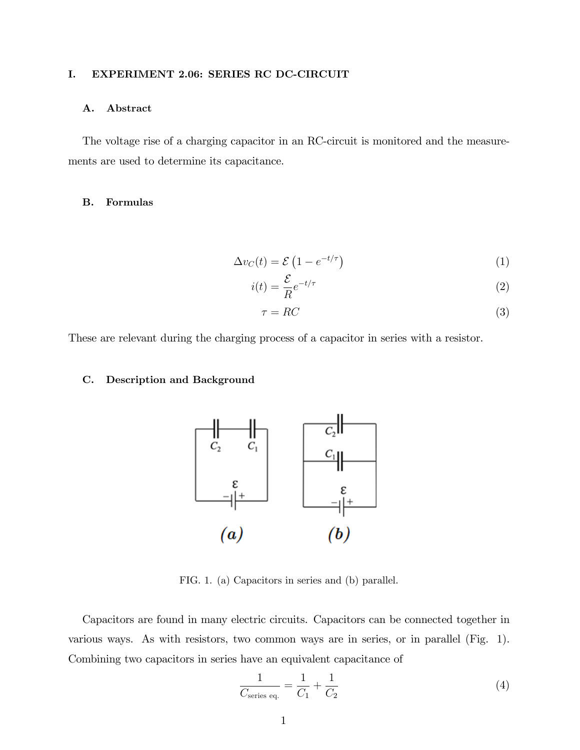# I. EXPERIMENT 2.06: SERIES RC DC-CIRCUIT

## A. Abstract

The voltage rise of a charging capacitor in an RC-circuit is monitored and the measurements are used to determine its capacitance.

# B. Formulas

$$
\Delta v_C(t) = \mathcal{E} \left( 1 - e^{-t/\tau} \right) \tag{1}
$$

$$
i(t) = \frac{\mathcal{E}}{R}e^{-t/\tau}
$$
\n(2)

$$
\tau = RC \tag{3}
$$

These are relevant during the charging process of a capacitor in series with a resistor.

# C. Description and Background



FIG. 1. (a) Capacitors in series and (b) parallel.

Capacitors are found in many electric circuits. Capacitors can be connected together in various ways. As with resistors, two common ways are in series, or in parallel (Fig. 1). Combining two capacitors in series have an equivalent capacitance of

$$
\frac{1}{C_{\text{series eq.}}} = \frac{1}{C_1} + \frac{1}{C_2} \tag{4}
$$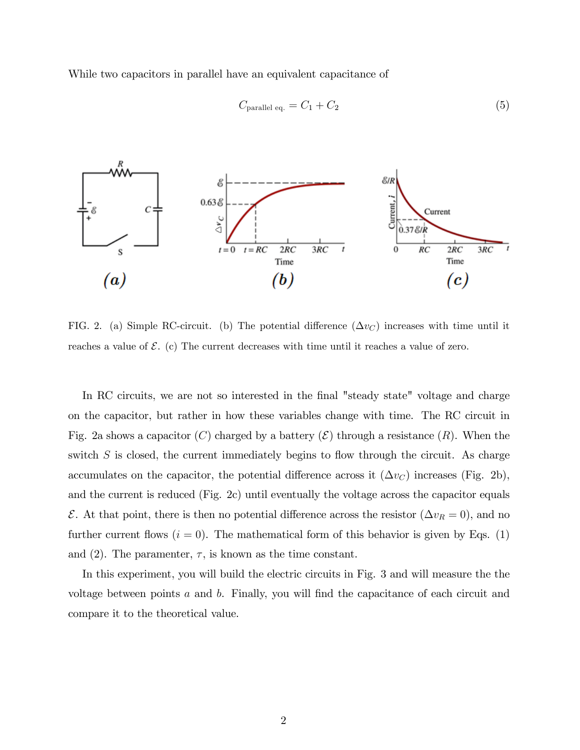While two capacitors in parallel have an equivalent capacitance of

$$
C_{\text{parallel eq.}} = C_1 + C_2 \tag{5}
$$



FIG. 2. (a) Simple RC-circuit. (b) The potential difference  $(\Delta v_C)$  increases with time until it reaches a value of  $\mathcal{E}$ . (c) The current decreases with time until it reaches a value of zero.

In RC circuits, we are not so interested in the final "steady state" voltage and charge on the capacitor, but rather in how these variables change with time. The RC circuit in Fig. 2a shows a capacitor (C) charged by a battery  $(\mathcal{E})$  through a resistance  $(R)$ . When the switch  $S$  is closed, the current immediately begins to flow through the circuit. As charge accumulates on the capacitor, the potential difference across it  $(\Delta v_C)$  increases (Fig. 2b), and the current is reduced (Fig. 2c) until eventually the voltage across the capacitor equals  $\mathcal{E}$ . At that point, there is then no potential difference across the resistor  $(\Delta v_R = 0)$ , and no further current flows  $(i = 0)$ . The mathematical form of this behavior is given by Eqs. (1) and (2). The parameter,  $\tau$ , is known as the time constant.

In this experiment, you will build the electric circuits in Fig. 3 and will measure the the voltage between points  $a$  and  $b$ . Finally, you will find the capacitance of each circuit and compare it to the theoretical value.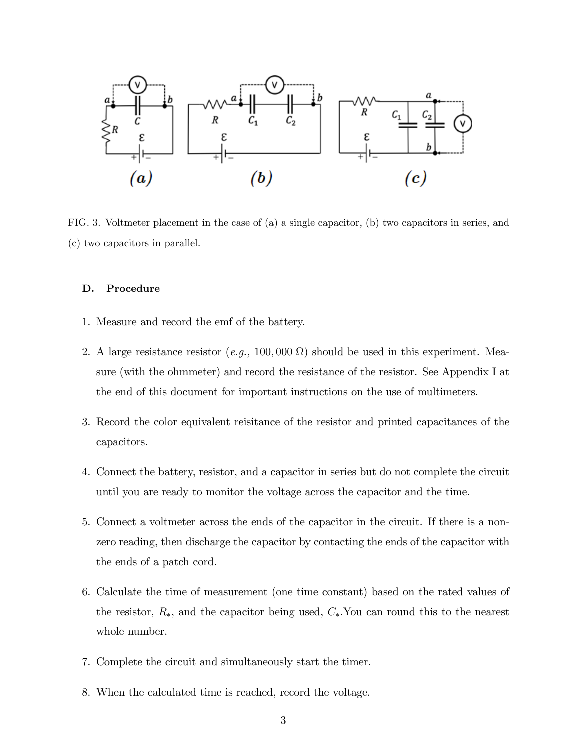

FIG. 3. Voltmeter placement in the case of (a) a single capacitor, (b) two capacitors in series, and (c) two capacitors in parallel.

## D. Procedure

- 1. Measure and record the emf of the battery.
- 2. A large resistance resistor  $(e.g., 100,000 \Omega)$  should be used in this experiment. Measure (with the ohmmeter) and record the resistance of the resistor. See Appendix I at the end of this document for important instructions on the use of multimeters.
- 3. Record the color equivalent reisitance of the resistor and printed capacitances of the capacitors.
- 4. Connect the battery, resistor, and a capacitor in series but do not complete the circuit until you are ready to monitor the voltage across the capacitor and the time.
- 5. Connect a voltmeter across the ends of the capacitor in the circuit. If there is a nonzero reading, then discharge the capacitor by contacting the ends of the capacitor with the ends of a patch cord.
- 6. Calculate the time of measurement (one time constant) based on the rated values of the resistor,  $R_*$ , and the capacitor being used,  $C_*$ . You can round this to the nearest whole number.
- 7. Complete the circuit and simultaneously start the timer.
- 8. When the calculated time is reached, record the voltage.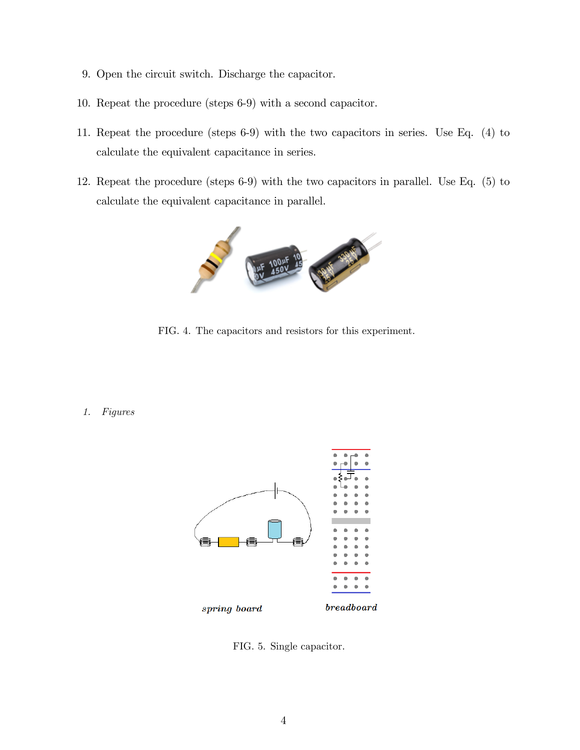- 9. Open the circuit switch. Discharge the capacitor.
- 10. Repeat the procedure (steps 6-9) with a second capacitor.
- 11. Repeat the procedure (steps 6-9) with the two capacitors in series. Use Eq. (4) to calculate the equivalent capacitance in series.
- 12. Repeat the procedure (steps 6-9) with the two capacitors in parallel. Use Eq. (5) to calculate the equivalent capacitance in parallel.



FIG. 4. The capacitors and resistors for this experiment.

1. Figures



FIG. 5. Single capacitor.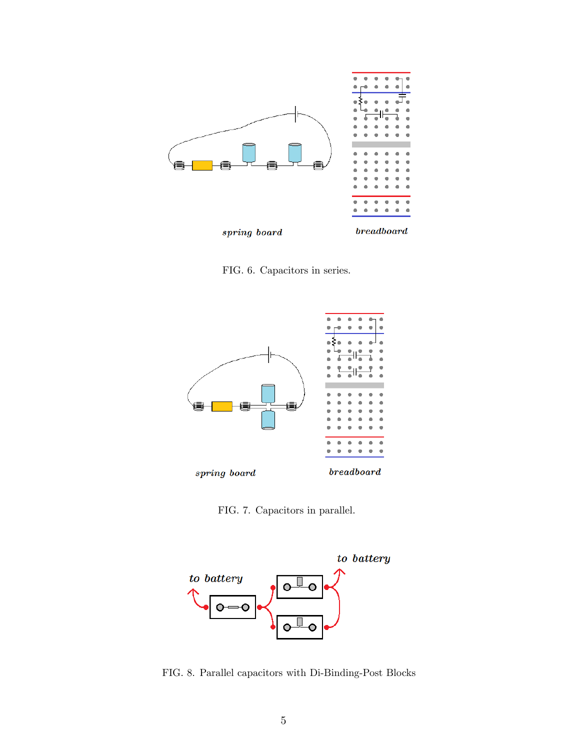

FIG. 6. Capacitors in series.



FIG. 7. Capacitors in parallel.



FIG. 8. Parallel capacitors with Di-Binding-Post Blocks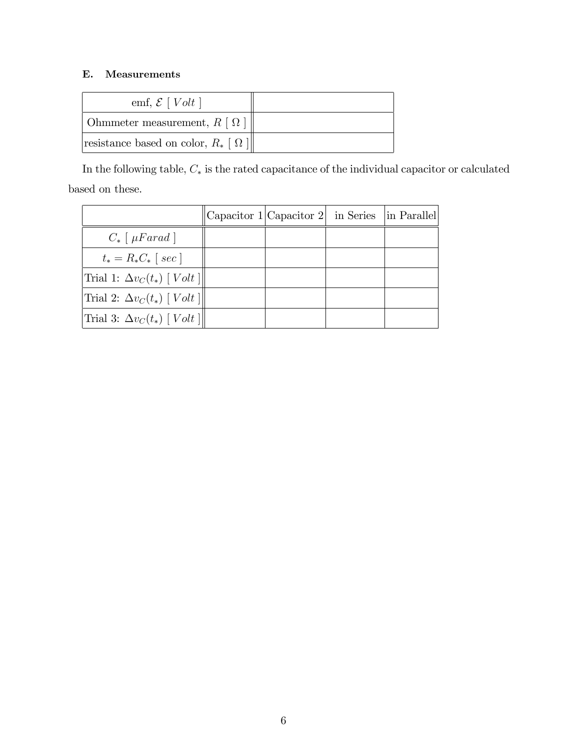# E. Measurements

| emf, $\mathcal{E}$ [ <i>Volt</i> ]            |  |
|-----------------------------------------------|--|
| Ohmmeter measurement, $R [\Omega]$            |  |
| resistance based on color, $R_*$ [ $\Omega$ ] |  |

In the following table,  $C_*$  is the rated capacitance of the individual capacitor or calculated based on these.

|                                            | Capacitor $1 $ Capacitor $2 $ in Series | in Parallel |
|--------------------------------------------|-----------------------------------------|-------------|
| $C_* \lceil \mu F \text{arad} \rceil$      |                                         |             |
| $t_* = R_* C_*$ [ sec ]                    |                                         |             |
| Trial 1: $\Delta v_C(t_*)$ [ <i>Volt</i> ] |                                         |             |
| Trial 2: $\Delta v_C(t_*)$ [ <i>Volt</i> ] |                                         |             |
| Trial 3: $\Delta v_C(t_*)$ [ <i>Volt</i> ] |                                         |             |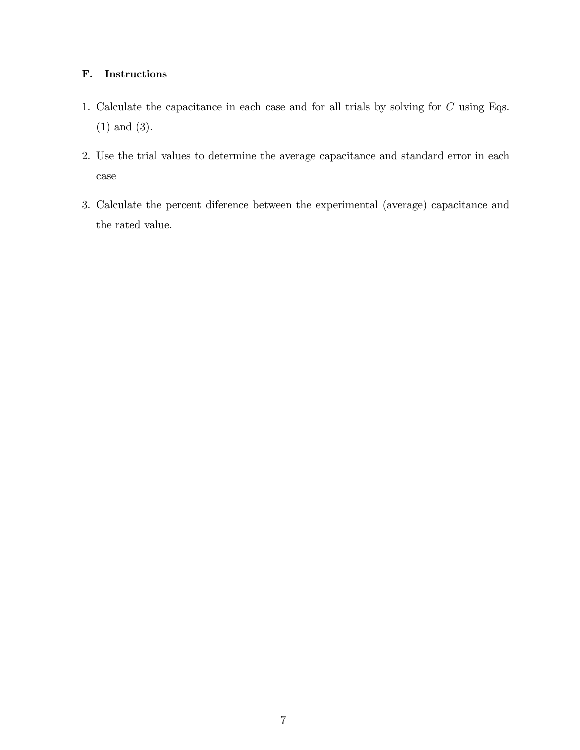# F. Instructions

- 1. Calculate the capacitance in each case and for all trials by solving for C using Eqs. (1) and (3).
- 2. Use the trial values to determine the average capacitance and standard error in each case
- 3. Calculate the percent diference between the experimental (average) capacitance and the rated value.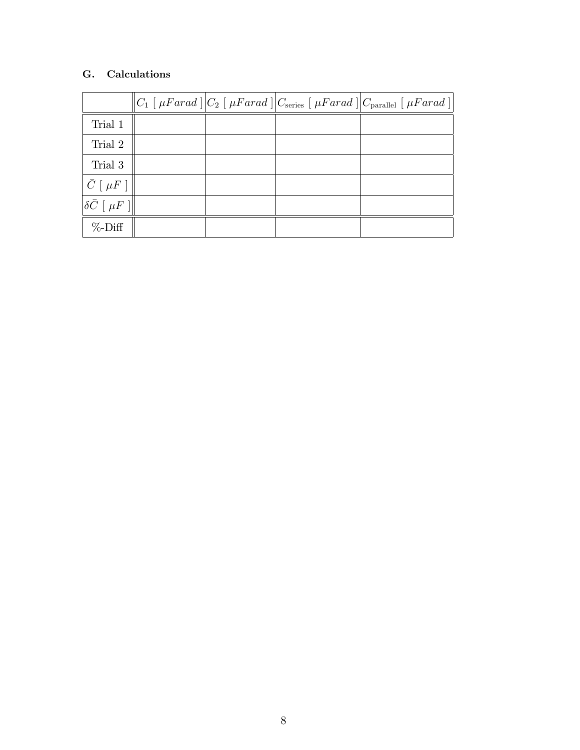# G. Calculations

|                                  |  | $ C_1 $ [ $\mu Farad$ $  C_2 $ $\mu Farad$ $  C_{\text{series}} $ $\mu Farad$ $  C_{\text{parallel}} $ $\mu Farad$ $  $ |
|----------------------------------|--|-------------------------------------------------------------------------------------------------------------------------|
| Trial 1                          |  |                                                                                                                         |
| Trial 2                          |  |                                                                                                                         |
| Trial 3                          |  |                                                                                                                         |
| $\bar{C}$ [ $\mu$ F ]            |  |                                                                                                                         |
| $\ \delta\bar C\ [ \ \mu F\ ]\ $ |  |                                                                                                                         |
| $\%$ -Diff                       |  |                                                                                                                         |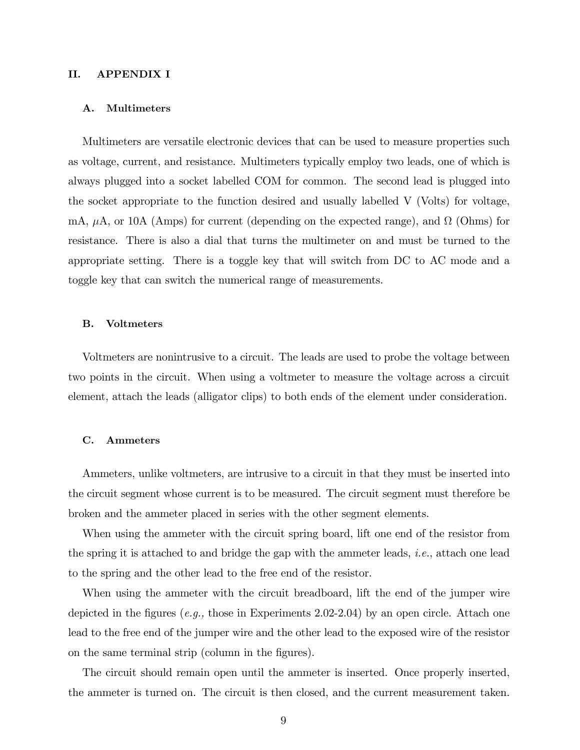### II. APPENDIX I

#### A. Multimeters

Multimeters are versatile electronic devices that can be used to measure properties such as voltage, current, and resistance. Multimeters typically employ two leads, one of which is always plugged into a socket labelled COM for common. The second lead is plugged into the socket appropriate to the function desired and usually labelled V (Volts) for voltage, mA,  $\mu$ A, or 10A (Amps) for current (depending on the expected range), and  $\Omega$  (Ohms) for resistance. There is also a dial that turns the multimeter on and must be turned to the appropriate setting. There is a toggle key that will switch from DC to AC mode and a toggle key that can switch the numerical range of measurements.

#### B. Voltmeters

Voltmeters are nonintrusive to a circuit. The leads are used to probe the voltage between two points in the circuit. When using a voltmeter to measure the voltage across a circuit element, attach the leads (alligator clips) to both ends of the element under consideration.

#### C. Ammeters

Ammeters, unlike voltmeters, are intrusive to a circuit in that they must be inserted into the circuit segment whose current is to be measured. The circuit segment must therefore be broken and the ammeter placed in series with the other segment elements.

When using the ammeter with the circuit spring board, lift one end of the resistor from the spring it is attached to and bridge the gap with the ammeter leads, *i.e.*, attach one lead to the spring and the other lead to the free end of the resistor.

When using the ammeter with the circuit breadboard, lift the end of the jumper wire depicted in the figures (e.g., those in Experiments 2.02-2.04) by an open circle. Attach one lead to the free end of the jumper wire and the other lead to the exposed wire of the resistor on the same terminal strip (column in the figures).

The circuit should remain open until the ammeter is inserted. Once properly inserted, the ammeter is turned on. The circuit is then closed, and the current measurement taken.